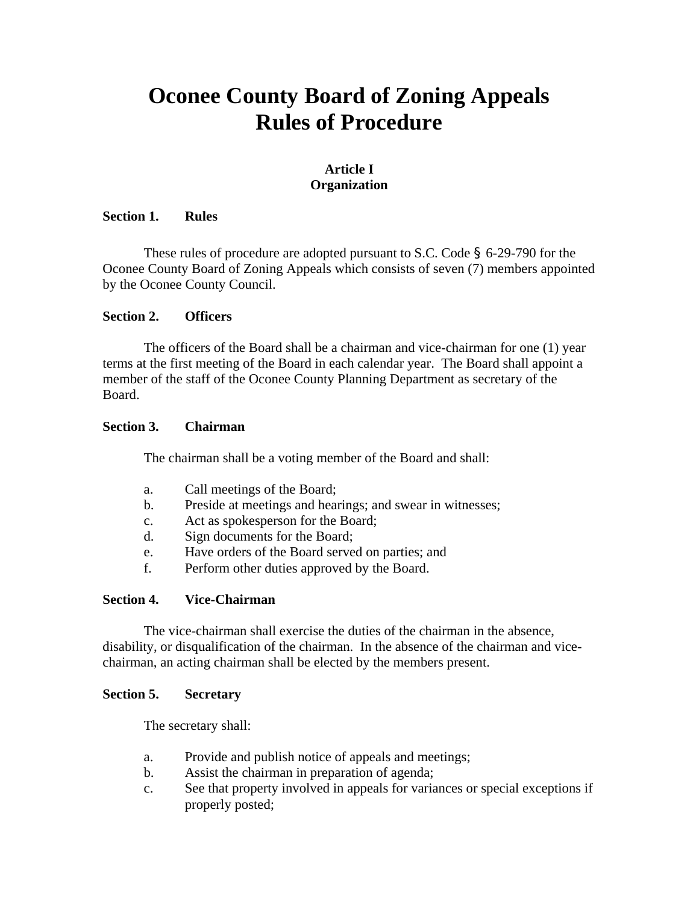# **Oconee County Board of Zoning Appeals Rules of Procedure**

# **Article I Organization**

# **Section 1. Rules**

These rules of procedure are adopted pursuant to S.C. Code  $\frac{6}{5}$  6-29-790 for the Oconee County Board of Zoning Appeals which consists of seven (7) members appointed by the Oconee County Council.

#### **Section 2. Officers**

The officers of the Board shall be a chairman and vice-chairman for one (1) year terms at the first meeting of the Board in each calendar year. The Board shall appoint a member of the staff of the Oconee County Planning Department as secretary of the Board.

#### **Section 3. Chairman**

The chairman shall be a voting member of the Board and shall:

- a. Call meetings of the Board;
- b. Preside at meetings and hearings; and swear in witnesses;
- c. Act as spokesperson for the Board;
- d. Sign documents for the Board;
- e. Have orders of the Board served on parties; and
- f. Perform other duties approved by the Board.

# **Section 4. Vice-Chairman**

The vice-chairman shall exercise the duties of the chairman in the absence, disability, or disqualification of the chairman. In the absence of the chairman and vicechairman, an acting chairman shall be elected by the members present.

#### **Section 5. Secretary**

The secretary shall:

- a. Provide and publish notice of appeals and meetings;
- b. Assist the chairman in preparation of agenda;
- c. See that property involved in appeals for variances or special exceptions if properly posted;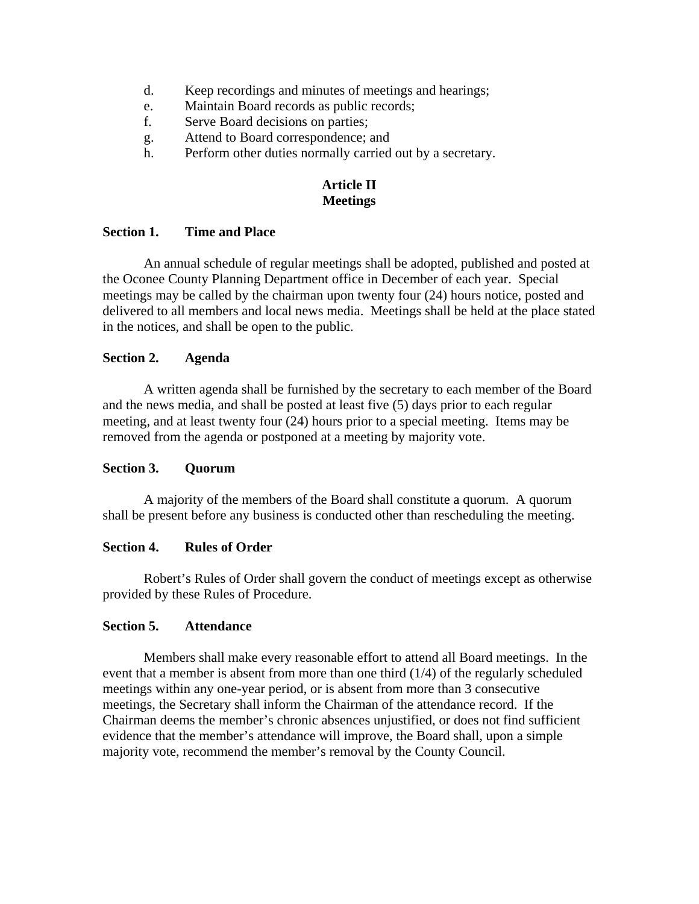- d. Keep recordings and minutes of meetings and hearings;
- e. Maintain Board records as public records;
- f. Serve Board decisions on parties;
- g. Attend to Board correspondence; and
- h. Perform other duties normally carried out by a secretary.

# **Article II Meetings**

# **Section 1. Time and Place**

An annual schedule of regular meetings shall be adopted, published and posted at the Oconee County Planning Department office in December of each year. Special meetings may be called by the chairman upon twenty four (24) hours notice, posted and delivered to all members and local news media. Meetings shall be held at the place stated in the notices, and shall be open to the public.

# **Section 2. Agenda**

A written agenda shall be furnished by the secretary to each member of the Board and the news media, and shall be posted at least five (5) days prior to each regular meeting, and at least twenty four (24) hours prior to a special meeting. Items may be removed from the agenda or postponed at a meeting by majority vote.

# **Section 3. Quorum**

A majority of the members of the Board shall constitute a quorum. A quorum shall be present before any business is conducted other than rescheduling the meeting.

# **Section 4. Rules of Order**

Robert's Rules of Order shall govern the conduct of meetings except as otherwise provided by these Rules of Procedure.

# **Section 5. Attendance**

Members shall make every reasonable effort to attend all Board meetings. In the event that a member is absent from more than one third (1/4) of the regularly scheduled meetings within any one-year period, or is absent from more than 3 consecutive meetings, the Secretary shall inform the Chairman of the attendance record. If the Chairman deems the member's chronic absences unjustified, or does not find sufficient evidence that the member's attendance will improve, the Board shall, upon a simple majority vote, recommend the member's removal by the County Council.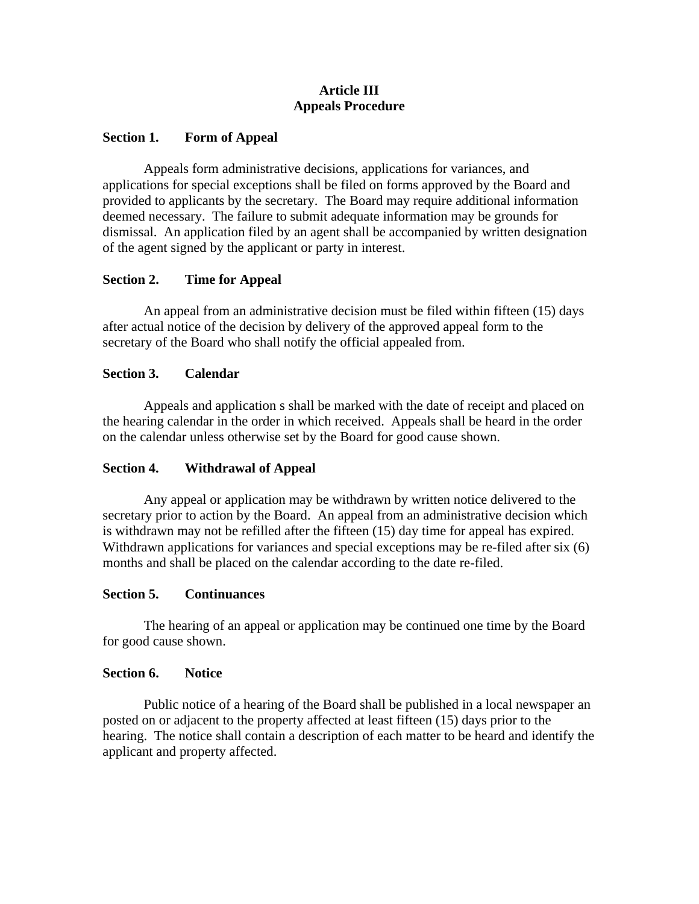# **Article III Appeals Procedure**

# **Section 1. Form of Appeal**

Appeals form administrative decisions, applications for variances, and applications for special exceptions shall be filed on forms approved by the Board and provided to applicants by the secretary. The Board may require additional information deemed necessary. The failure to submit adequate information may be grounds for dismissal. An application filed by an agent shall be accompanied by written designation of the agent signed by the applicant or party in interest.

# **Section 2. Time for Appeal**

An appeal from an administrative decision must be filed within fifteen (15) days after actual notice of the decision by delivery of the approved appeal form to the secretary of the Board who shall notify the official appealed from.

# **Section 3. Calendar**

Appeals and application s shall be marked with the date of receipt and placed on the hearing calendar in the order in which received. Appeals shall be heard in the order on the calendar unless otherwise set by the Board for good cause shown.

# **Section 4. Withdrawal of Appeal**

Any appeal or application may be withdrawn by written notice delivered to the secretary prior to action by the Board. An appeal from an administrative decision which is withdrawn may not be refilled after the fifteen (15) day time for appeal has expired. Withdrawn applications for variances and special exceptions may be re-filed after six (6) months and shall be placed on the calendar according to the date re-filed.

# **Section 5. Continuances**

The hearing of an appeal or application may be continued one time by the Board for good cause shown.

# **Section 6. Notice**

Public notice of a hearing of the Board shall be published in a local newspaper an posted on or adjacent to the property affected at least fifteen (15) days prior to the hearing. The notice shall contain a description of each matter to be heard and identify the applicant and property affected.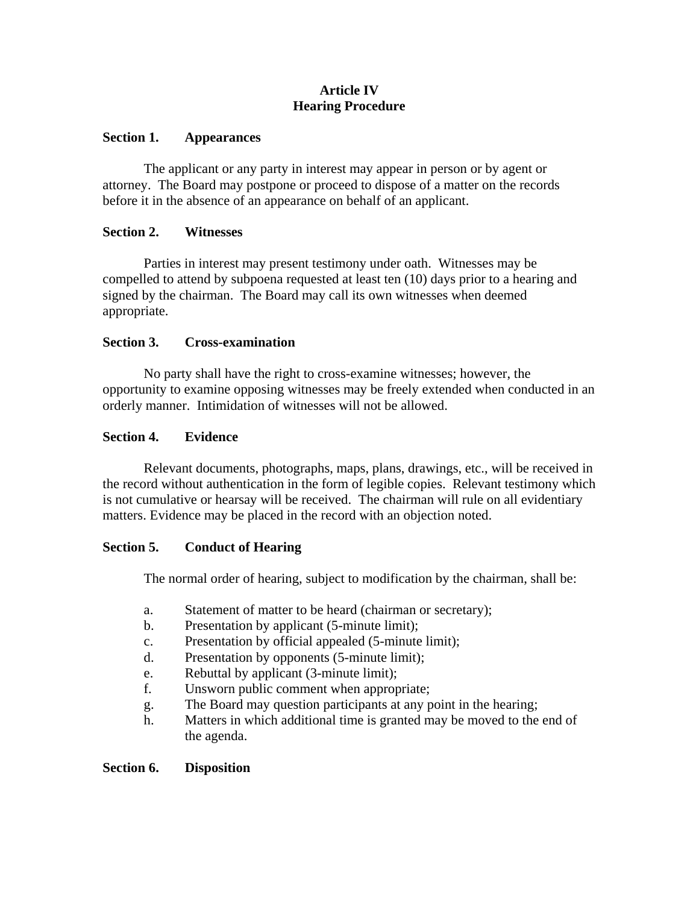# **Article IV Hearing Procedure**

# **Section 1. Appearances**

The applicant or any party in interest may appear in person or by agent or attorney. The Board may postpone or proceed to dispose of a matter on the records before it in the absence of an appearance on behalf of an applicant.

# **Section 2. Witnesses**

Parties in interest may present testimony under oath. Witnesses may be compelled to attend by subpoena requested at least ten (10) days prior to a hearing and signed by the chairman. The Board may call its own witnesses when deemed appropriate.

# **Section 3. Cross-examination**

No party shall have the right to cross-examine witnesses; however, the opportunity to examine opposing witnesses may be freely extended when conducted in an orderly manner. Intimidation of witnesses will not be allowed.

# **Section 4. Evidence**

Relevant documents, photographs, maps, plans, drawings, etc., will be received in the record without authentication in the form of legible copies. Relevant testimony which is not cumulative or hearsay will be received. The chairman will rule on all evidentiary matters. Evidence may be placed in the record with an objection noted.

# **Section 5. Conduct of Hearing**

The normal order of hearing, subject to modification by the chairman, shall be:

- a. Statement of matter to be heard (chairman or secretary);
- b. Presentation by applicant (5-minute limit);
- c. Presentation by official appealed (5-minute limit);
- d. Presentation by opponents (5-minute limit);
- e. Rebuttal by applicant (3-minute limit);
- f. Unsworn public comment when appropriate;
- g. The Board may question participants at any point in the hearing;
- h. Matters in which additional time is granted may be moved to the end of the agenda.

# **Section 6. Disposition**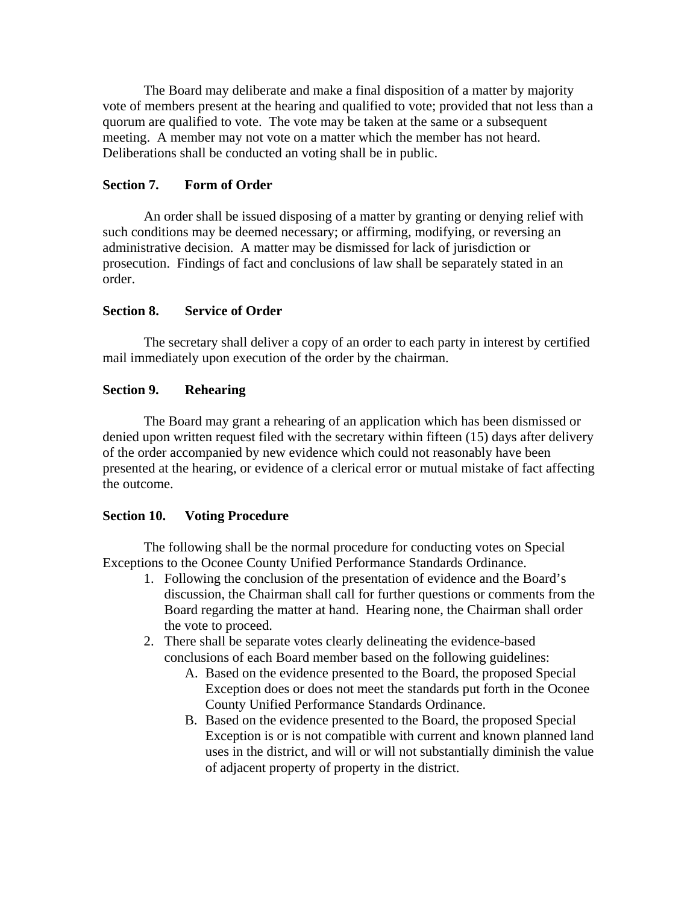The Board may deliberate and make a final disposition of a matter by majority vote of members present at the hearing and qualified to vote; provided that not less than a quorum are qualified to vote. The vote may be taken at the same or a subsequent meeting. A member may not vote on a matter which the member has not heard. Deliberations shall be conducted an voting shall be in public.

# **Section 7. Form of Order**

An order shall be issued disposing of a matter by granting or denying relief with such conditions may be deemed necessary; or affirming, modifying, or reversing an administrative decision. A matter may be dismissed for lack of jurisdiction or prosecution. Findings of fact and conclusions of law shall be separately stated in an order.

# **Section 8. Service of Order**

The secretary shall deliver a copy of an order to each party in interest by certified mail immediately upon execution of the order by the chairman.

# **Section 9. Rehearing**

The Board may grant a rehearing of an application which has been dismissed or denied upon written request filed with the secretary within fifteen (15) days after delivery of the order accompanied by new evidence which could not reasonably have been presented at the hearing, or evidence of a clerical error or mutual mistake of fact affecting the outcome.

# **Section 10. Voting Procedure**

The following shall be the normal procedure for conducting votes on Special Exceptions to the Oconee County Unified Performance Standards Ordinance.

- 1. Following the conclusion of the presentation of evidence and the Board's discussion, the Chairman shall call for further questions or comments from the Board regarding the matter at hand. Hearing none, the Chairman shall order the vote to proceed.
- 2. There shall be separate votes clearly delineating the evidence-based conclusions of each Board member based on the following guidelines:
	- A. Based on the evidence presented to the Board, the proposed Special Exception does or does not meet the standards put forth in the Oconee County Unified Performance Standards Ordinance.
	- B. Based on the evidence presented to the Board, the proposed Special Exception is or is not compatible with current and known planned land uses in the district, and will or will not substantially diminish the value of adjacent property of property in the district.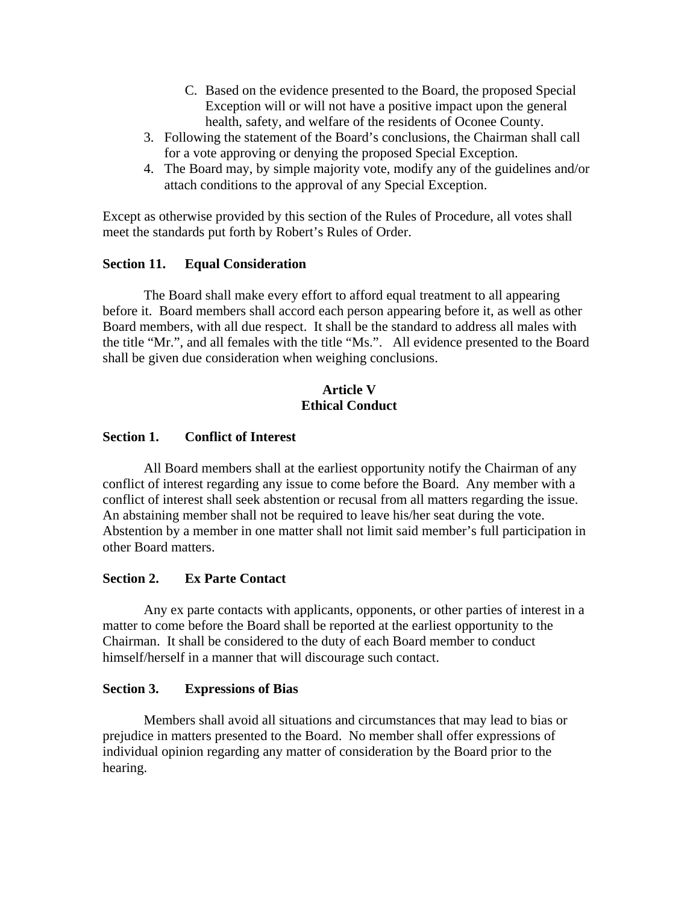- C. Based on the evidence presented to the Board, the proposed Special Exception will or will not have a positive impact upon the general health, safety, and welfare of the residents of Oconee County.
- 3. Following the statement of the Board's conclusions, the Chairman shall call for a vote approving or denying the proposed Special Exception.
- 4. The Board may, by simple majority vote, modify any of the guidelines and/or attach conditions to the approval of any Special Exception.

Except as otherwise provided by this section of the Rules of Procedure, all votes shall meet the standards put forth by Robert's Rules of Order.

# **Section 11. Equal Consideration**

The Board shall make every effort to afford equal treatment to all appearing before it. Board members shall accord each person appearing before it, as well as other Board members, with all due respect. It shall be the standard to address all males with the title "Mr.", and all females with the title "Ms.". All evidence presented to the Board shall be given due consideration when weighing conclusions.

# **Article V Ethical Conduct**

# **Section 1. Conflict of Interest**

All Board members shall at the earliest opportunity notify the Chairman of any conflict of interest regarding any issue to come before the Board. Any member with a conflict of interest shall seek abstention or recusal from all matters regarding the issue. An abstaining member shall not be required to leave his/her seat during the vote. Abstention by a member in one matter shall not limit said member's full participation in other Board matters.

# **Section 2. Ex Parte Contact**

Any ex parte contacts with applicants, opponents, or other parties of interest in a matter to come before the Board shall be reported at the earliest opportunity to the Chairman. It shall be considered to the duty of each Board member to conduct himself/herself in a manner that will discourage such contact.

# **Section 3. Expressions of Bias**

Members shall avoid all situations and circumstances that may lead to bias or prejudice in matters presented to the Board. No member shall offer expressions of individual opinion regarding any matter of consideration by the Board prior to the hearing.